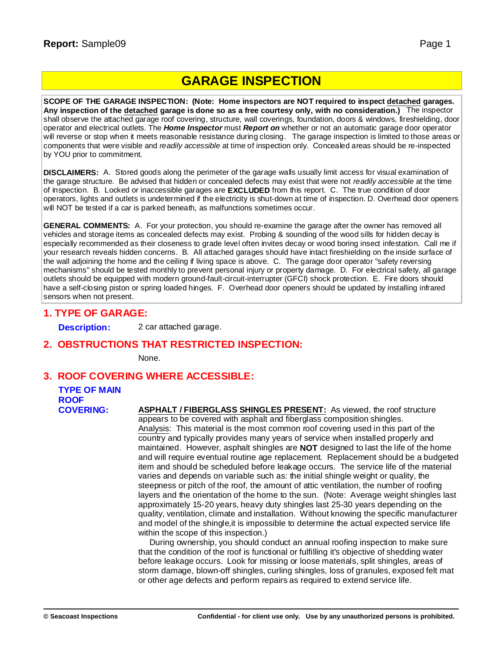## **GARAGE INSPECTION**

**SCOPE OF THE GARAGE INSPECTION: (Note: Home inspectors are NOT required to inspect detached garages.** Any inspection of the detached garage is done so as a free courtesy only, with no consideration.) The inspector shall observe the attached garage roof covering, structure, wall coverings, foundation, doors & windows, fireshielding, door operator and electrical outlets. The *Home Inspector* must *Report on* whether or not an automatic garage door operator will reverse or stop when it meets reasonable resistance during closing. The garage inspection is limited to those areas or components that were visible and *readily accessible* at time of inspection only. Concealed areas should be re-inspected by YOU prior to commitment.

**DISCLAIMERS:** A. Stored goods along the perimeter of the garage walls usually limit access for visual examination of the garage structure. Be advised that hidden or concealed defects may exist that were not *readily accessible* at the time of inspection. B. Locked or inaccessible garages are **EXCLUDED** from this report. C. The true condition of door operators, lights and outlets is undetermined if the electricity is shut-down at time of inspection. D. Overhead door openers will NOT be tested if a car is parked beneath, as malfunctions sometimes occur.

**GENERAL COMMENTS:** A. For your protection, you should re-examine the garage after the owner has removed all vehicles and storage items as concealed defects may exist. Probing & sounding of the wood sills for hidden decay is especially recommended as their closeness to grade level often invites decay or wood boring insect infestation. Call me if your research reveals hidden concerns. B. All attached garages should have intact fireshielding on the inside surface of the wall adjoining the home and the ceiling if living space is above. C. The garage door operator "safety reversing mechanisms" should be tested monthly to prevent personal injury or property damage. D. For electrical safety, all garage outlets should be equipped with modern ground-fault-circuit-interrupter (GFCI) shock protection. E. Fire doors should have a self-closing piston or spring loaded hinges. F. Overhead door openers should be updated by installing infrared sensors when not present.

#### **1. TYPE OF GARAGE:**

**Description:** 2 car attached garage.

#### **2. OBSTRUCTIONS THAT RESTRICTED INSPECTION:**

None.

#### **3. ROOF COVERING WHERE ACCESSIBLE:**

### **TYPE OF MAIN ROOF**

**COVERING: ASPHALT / FIBERGLASS SHINGLES PRESENT:** As viewed, the roof structure appears to be covered with asphalt and fiberglass composition shingles. Analysis: This material is the most common roof covering used in this part of the country and typically provides many years of service when installed properly and maintained. However, asphalt shingles are **NOT** designed to last the life of the home and will require eventual routine age replacement. Replacement should be a budgeted item and should be scheduled before leakage occurs. The service life of the material varies and depends on variable such as: the initial shingle weight or quality, the steepness or pitch of the roof, the amount of attic ventilation, the number of roofing layers and the orientation of the home to the sun. (Note: Average weight shingles last approximately 15-20 years, heavy duty shingles last 25-30 years depending on the quality, ventilation, climate and installation. Without knowing the specific manufacturer and model of the shingle,it is impossible to determine the actual expected service life within the scope of this inspection.)

During ownership, you should conduct an annual roofing inspection to make sure that the condition of the roof is functional or fulfilling it's objective of shedding water before leakage occurs. Look for missing or loose materials, split shingles, areas of storm damage, blown-off shingles, curling shingles, loss of granules, exposed felt mat or other age defects and perform repairs as required to extend service life.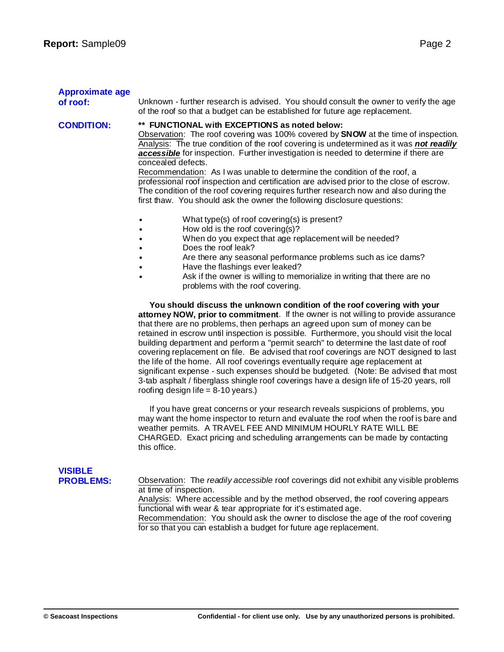| <b>Approximate age</b><br>of roof: | Unknown - further research is advised. You should consult the owner to verify the age<br>of the roof so that a budget can be established for future age replacement.                                                                                                                                                                                                                                                                                                                                                                                                                                                                                                                                                                                                                                                                     |
|------------------------------------|------------------------------------------------------------------------------------------------------------------------------------------------------------------------------------------------------------------------------------------------------------------------------------------------------------------------------------------------------------------------------------------------------------------------------------------------------------------------------------------------------------------------------------------------------------------------------------------------------------------------------------------------------------------------------------------------------------------------------------------------------------------------------------------------------------------------------------------|
| <b>CONDITION:</b>                  | ** FUNCTIONAL with EXCEPTIONS as noted below:<br>Observation: The roof covering was 100% covered by <b>SNOW</b> at the time of inspection.<br>Analysis: The true condition of the roof covering is undetermined as it was not readily<br>accessible for inspection. Further investigation is needed to determine if there are<br>concealed defects.<br>Recommendation: As I was unable to determine the condition of the roof, a<br>professional roof inspection and certification are advised prior to the close of escrow.<br>The condition of the roof covering requires further research now and also during the<br>first thaw. You should ask the owner the following disclosure questions:                                                                                                                                         |
|                                    | What type(s) of roof covering(s) is present?<br>How old is the roof covering(s)?<br>When do you expect that age replacement will be needed?<br>Does the roof leak?<br>Are there any seasonal performance problems such as ice dams?<br>Have the flashings ever leaked?<br>Ask if the owner is willing to memorialize in writing that there are no<br>problems with the roof covering.                                                                                                                                                                                                                                                                                                                                                                                                                                                    |
|                                    | You should discuss the unknown condition of the roof covering with your<br>attorney NOW, prior to commitment. If the owner is not willing to provide assurance<br>that there are no problems, then perhaps an agreed upon sum of money can be<br>retained in escrow until inspection is possible. Furthermore, you should visit the local<br>building department and perform a "permit search" to determine the last date of roof<br>covering replacement on file. Be advised that roof coverings are NOT designed to last<br>the life of the home. All roof coverings eventually require age replacement at<br>significant expense - such expenses should be budgeted. (Note: Be advised that most<br>3-tab asphalt / fiberglass shingle roof coverings have a design life of 15-20 years, roll<br>roofing design life = $8-10$ years.) |
|                                    | If you have great concerns or your research reveals suspicions of problems, you<br>may want the home inspector to return and evaluate the roof when the roof is bare and<br>Woother permits $A T D A V E$ EEE AND MINIMUM HOLIDLY DATE MILL BE                                                                                                                                                                                                                                                                                                                                                                                                                                                                                                                                                                                           |

weather permits. A TRAVEL FEE AND MINIMUM HOURLY RATE WILL BE CHARGED. Exact pricing and scheduling arrangements can be made by contacting this office.

# **VISIBLE**

**PROBLEMS:** Observation: The *readily accessible* roof coverings did not exhibit any visible problems at time of inspection.

Analysis: Where accessible and by the method observed, the roof covering appears functional with wear & tear appropriate for it's estimated age.

Recommendation: You should ask the owner to disclose the age of the roof covering for so that you can establish a budget for future age replacement.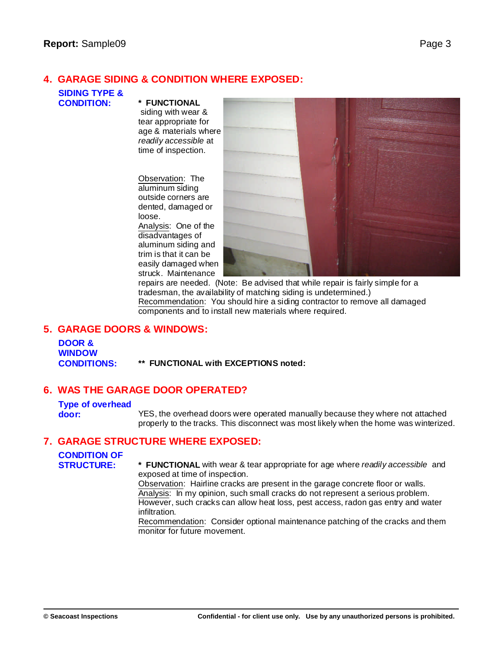#### **4. GARAGE SIDING & CONDITION WHERE EXPOSED:**

# **SIDING TYPE &**

#### **CONDITION: \* FUNCTIONAL**

siding with wear & tear appropriate for age & materials where *readily accessible* at time of inspection.

Observation: The aluminum siding outside corners are dented, damaged or loose. Analysis: One of the disadvantages of aluminum siding and trim is that it can be easily damaged when

struck. Maintenance



repairs are needed. (Note: Be advised that while repair is fairly simple for a tradesman, the availability of matching siding is undetermined.) Recommendation: You should hire a siding contractor to remove all damaged components and to install new materials where required.

#### **5. GARAGE DOORS & WINDOWS:**

**DOOR & WINDOW CONDITIONS: \*\* FUNCTIONAL with EXCEPTIONS noted:**

#### **6. WAS THE GARAGE DOOR OPERATED?**

#### **Type of overhead**

**door:** YES, the overhead doors were operated manually because they where not attached properly to the tracks. This disconnect was most likely when the home was winterized.

#### **7. GARAGE STRUCTURE WHERE EXPOSED:**

## **CONDITION OF**

**STRUCTURE: \* FUNCTIONAL** with wear & tear appropriate for age where *readily accessible* and exposed at time of inspection.

Observation: Hairline cracks are present in the garage concrete floor or walls. Analysis: In my opinion, such small cracks do not represent a serious problem. However, such cracks can allow heat loss, pest access, radon gas entry and water infiltration.

Recommendation: Consider optional maintenance patching of the cracks and them monitor for future movement.